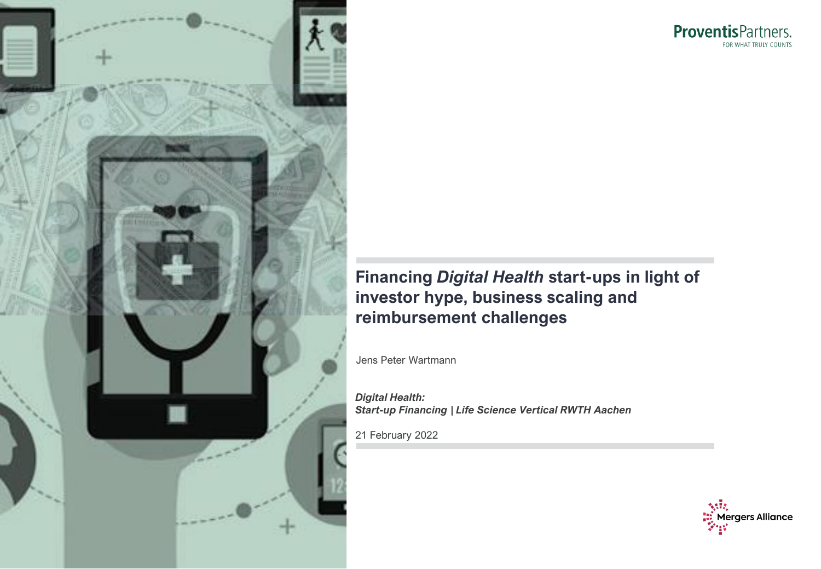

ProventisPartners. FOR WHAT TRULY COUNTS

# **Financing** *Digital Health* **start-ups in light of investor hype, business scaling and reimbursement challenges**

Jens Peter Wartmann

*Digital Health: Start-up Financing | Life Science Vertical RWTH Aachen*

21 February 2022

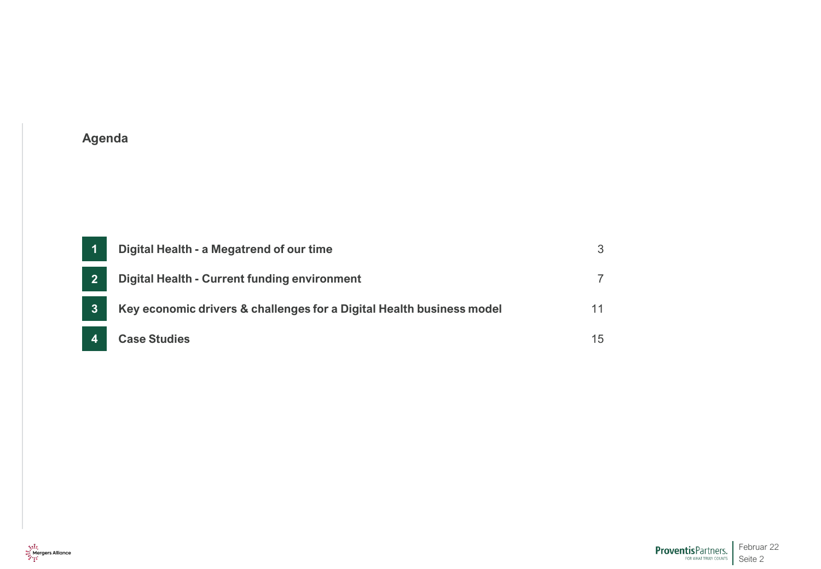| Digital Health - a Megatrend of our time                              |  |
|-----------------------------------------------------------------------|--|
| Digital Health - Current funding environment                          |  |
| Key economic drivers & challenges for a Digital Health business model |  |
| <b>Case Studies</b>                                                   |  |

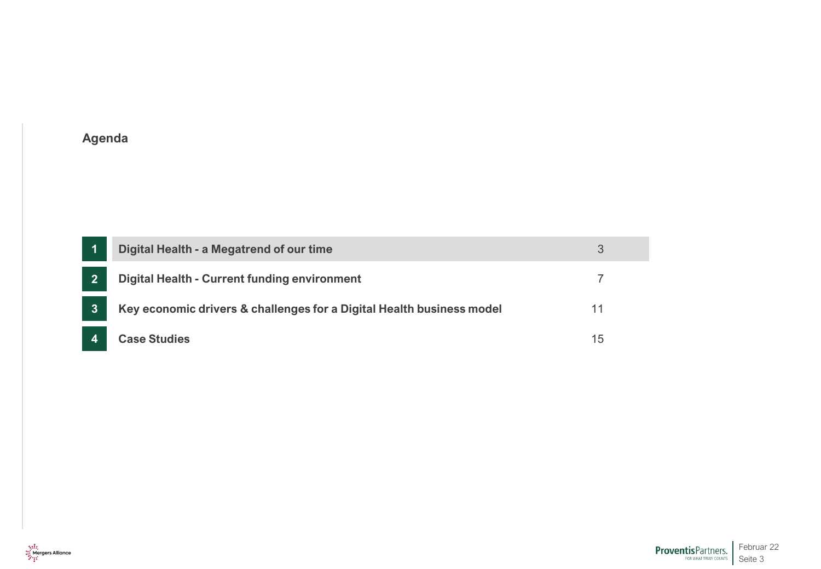<span id="page-2-0"></span>

|                | Digital Health - a Megatrend of our time                              |    |
|----------------|-----------------------------------------------------------------------|----|
| $\overline{2}$ | <b>Digital Health - Current funding environment</b>                   |    |
| $\mathbf{3}$   | Key economic drivers & challenges for a Digital Health business model | 11 |
|                | <b>Case Studies</b>                                                   | 15 |

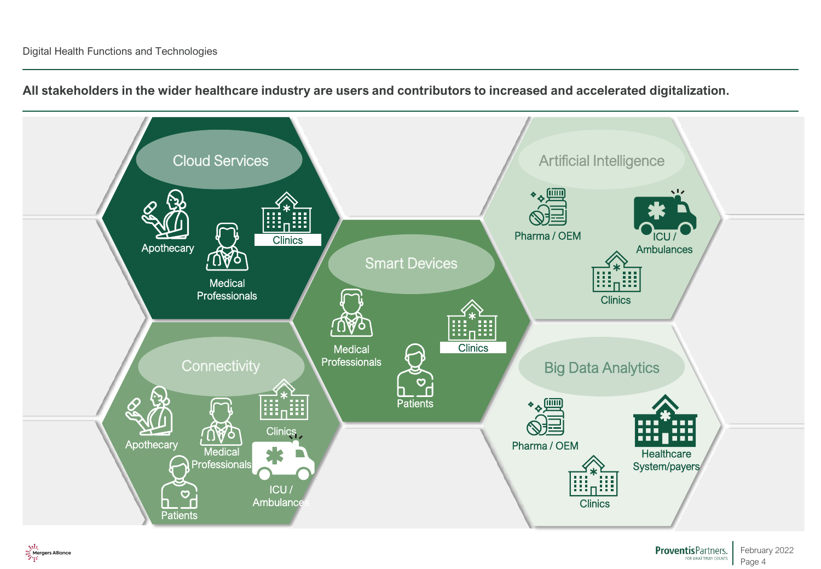

February 2022 Page 4

**ProventisPartners.** 

**All stakeholders in the wider healthcare industry are users and contributors to increased and accelerated digitalization.**

्राहि<br>स्ट्रिलिया Mergers Alliance<br>हिन्दू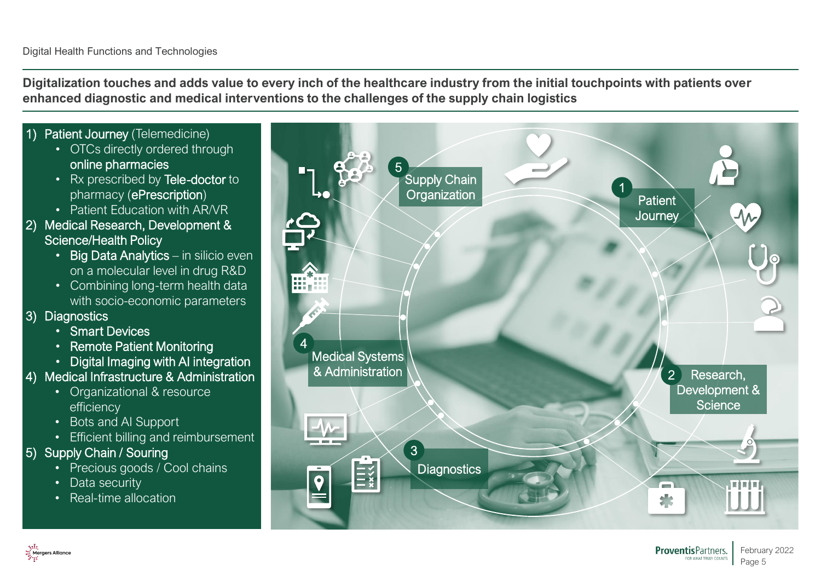**Digitalization touches and adds value to every inch of the healthcare industry from the initial touchpoints with patients over enhanced diagnostic and medical interventions to the challenges of the supply chain logistics**

1) Patient Journey (Telemedicine) • OTCs directly ordered through online pharmacies • Rx prescribed by Tele-doctor to pharmacy (ePrescription) • Patient Education with AR/VR 2) Medical Research, Development & Science/Health Policy • Big Data Analytics – in silicio even on a molecular level in drug R&D • Combining long-term health data with socio-economic parameters 3) Diagnostics • Smart Devices • Remote Patient Monitoring • Digital Imaging with AI integration 4) Medical Infrastructure & Administration

- Organizational & resource efficiency
- Bots and AI Support
- Efficient billing and reimbursement

# 5) Supply Chain / Souring

- Precious goods / Cool chains
- Data security
- Real-time allocation



Page 5

**FOR WHAT TRILLY COUNTS** 

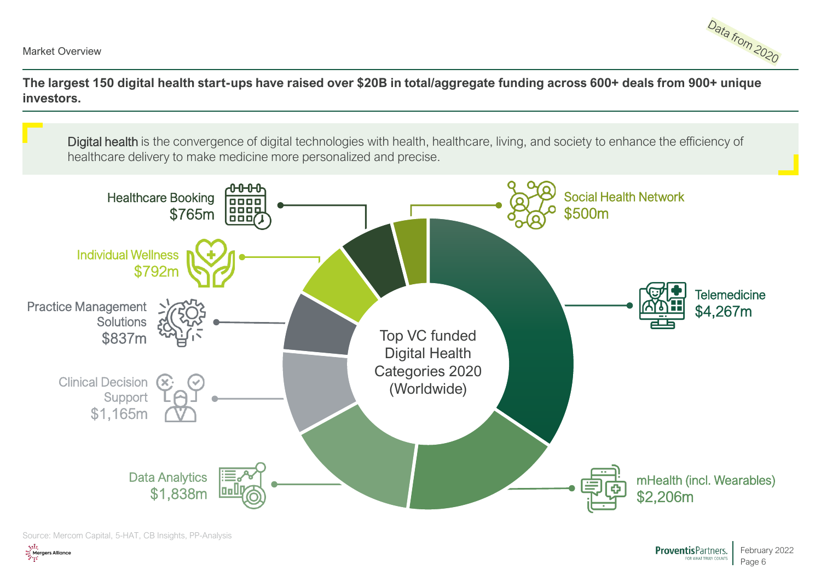

**The largest 150 digital health start-ups have raised over \$20B in total/aggregate funding across 600+ deals from 900+ unique investors.**

Digital health is the convergence of digital technologies with health, healthcare, living, and society to enhance the efficiency of healthcare delivery to make medicine more personalized and precise.



Source: Mercom Capital, 5-HAT, CB Insights, PP-Analysis

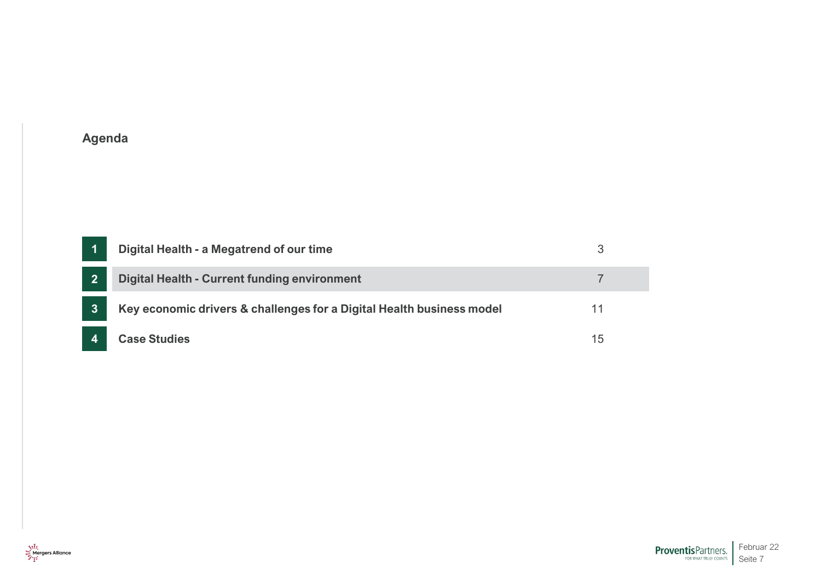<span id="page-6-0"></span>

|                | Digital Health - a Megatrend of our time                              |    |
|----------------|-----------------------------------------------------------------------|----|
| $\overline{2}$ | <b>Digital Health - Current funding environment</b>                   |    |
| $\mathbf{3}$   | Key economic drivers & challenges for a Digital Health business model |    |
|                | <b>Case Studies</b>                                                   | 15 |

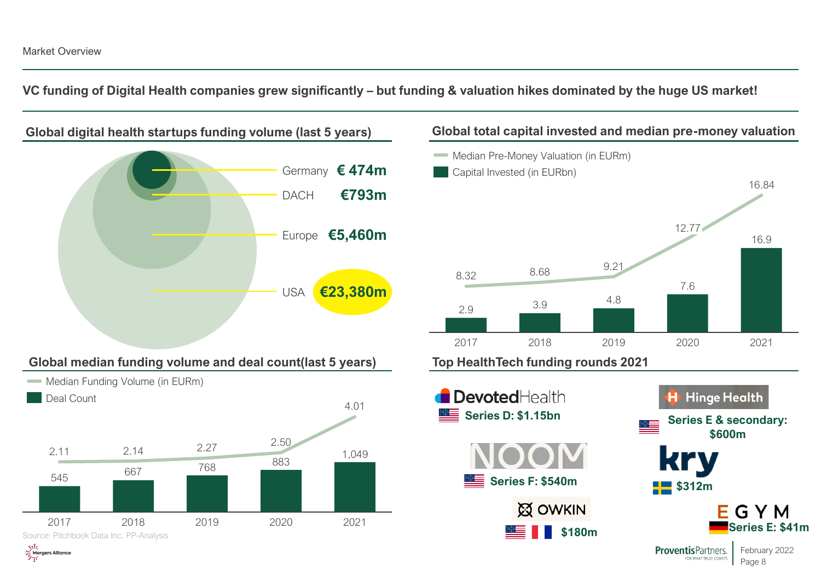**VC funding of Digital Health companies grew significantly – but funding & valuation hikes dominated by the huge US market!**

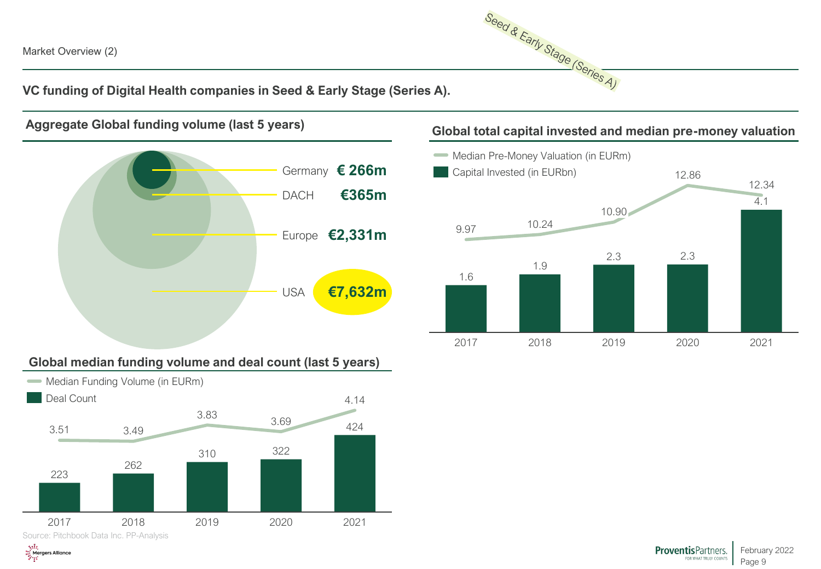ू हों?<br>स्ट्री Mergers Alliance<br>अधि

Seed & Early Stage (Series A)

**VC funding of Digital Health companies in Seed & Early Stage (Series A).**





## **Global median funding volume and deal count (last 5 years)**



# **Aggregate Global funding volume (last 5 years) Global total capital invested and median pre-money valuation**

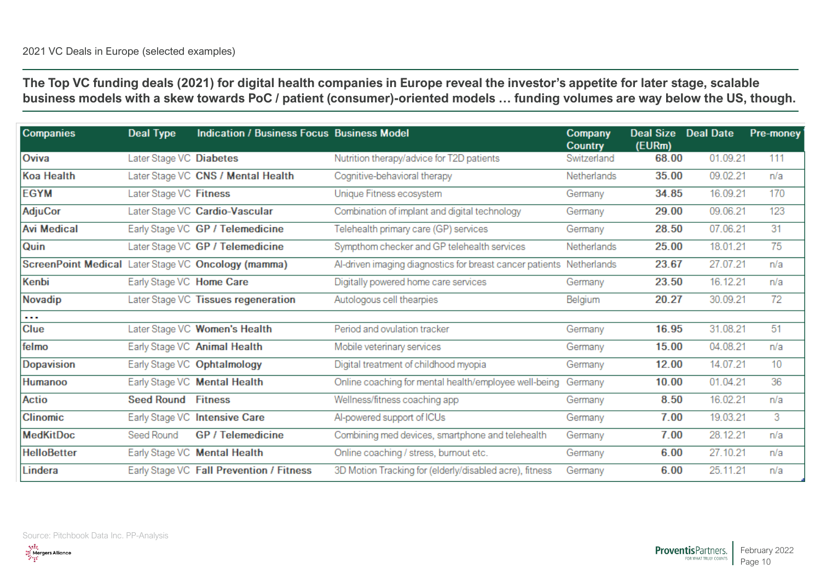**The Top VC funding deals (2021) for digital health companies in Europe reveal the investor's appetite for later stage, scalable business models with a skew towards PoC / patient (consumer)-oriented models … funding volumes are way below the US, though.** 

| <b>Companies</b>                                    | Deal Type                 | <b>Indication / Business Focus Business Model</b> |                                                                      | Company<br><b>Country</b> | Deal Size Deal Date<br>(EURm) |          | Pre-money |
|-----------------------------------------------------|---------------------------|---------------------------------------------------|----------------------------------------------------------------------|---------------------------|-------------------------------|----------|-----------|
| Oviva                                               | Later Stage VC Diabetes   |                                                   | Nutrition therapy/advice for T2D patients                            | Switzerland               | 68.00                         | 01.09.21 | 111       |
| Koa Health                                          |                           | Later Stage VC CNS / Mental Health                | Cognitive-behavioral therapy                                         | Netherlands               | 35.00                         | 09.02.21 | n/a       |
| <b>EGYM</b>                                         | Later Stage VC Fitness    |                                                   | Unique Fitness ecosystem                                             | Germany                   | 34.85                         | 16.09.21 | 170       |
| <b>AdjuCor</b>                                      |                           | Later Stage VC Cardio-Vascular                    | Combination of implant and digital technology                        | Germany                   | 29.00                         | 09.06.21 | 123       |
| <b>Avi Medical</b>                                  |                           | Early Stage VC GP / Telemedicine                  | Telehealth primary care (GP) services                                | Germany                   | 28.50                         | 07.06.21 | 31        |
| Quin                                                |                           | Later Stage VC GP / Telemedicine                  | Sympthom checker and GP telehealth services                          | Netherlands               | 25.00                         | 18.01.21 | 75        |
| ScreenPoint Medical Later Stage VC Oncology (mamma) |                           |                                                   | Al-driven imaging diagnostics for breast cancer patients Netherlands |                           | 23.67                         | 27.07.21 | n/a       |
| Kenbi                                               | Early Stage VC Home Care  |                                                   | Digitally powered home care services                                 | Germany                   | 23.50                         | 16.12.21 | n/a       |
| Novadip                                             |                           | Later Stage VC Tissues regeneration               | Autologous cell thearpies                                            | Belgium                   | 20.27                         | 30.09.21 | 72        |
| $\sim$ $\sim$                                       |                           |                                                   |                                                                      |                           |                               |          |           |
| <b>Clue</b>                                         |                           | Later Stage VC Women's Health                     | Period and ovulation tracker                                         | Germany                   | 16.95                         | 31.08.21 | 51        |
| felmo                                               |                           | Early Stage VC Animal Health                      | Mobile veterinary services                                           | Germany                   | 15.00                         | 04.08.21 | n/a       |
| Dopavision                                          |                           | Early Stage VC Ophtalmology                       | Digital treatment of childhood myopia                                | Germany                   | 12.00                         | 14.07.21 | 10        |
| <b>Humanoo</b>                                      |                           | Early Stage VC Mental Health                      | Online coaching for mental health/employee well-being                | Germany                   | 10.00                         | 01.04.21 | 36        |
| Actio                                               | <b>Seed Round Fitness</b> |                                                   | Wellness/fitness coaching app                                        | Germany                   | 8.50                          | 16.02.21 | n/a       |
| <b>Clinomic</b>                                     |                           | Early Stage VC Intensive Care                     | Al-powered support of ICUs                                           | Germany                   | 7.00                          | 19.03.21 | 3         |
| <b>MedKitDoc</b>                                    | Seed Round                | GP / Telemedicine                                 | Combining med devices, smartphone and telehealth                     | Germany                   | 7.00                          | 28.12.21 | n/a       |
| <b>HelloBetter</b>                                  |                           | Early Stage VC Mental Health                      | Online coaching / stress, burnout etc.                               | Germany                   | 6.00                          | 27.10.21 | n/a       |
| Lindera                                             |                           | Early Stage VC Fall Prevention / Fitness          | 3D Motion Tracking for (elderly/disabled acre), fitness              | Germany                   | 6.00                          | 25.11.21 | n/a       |

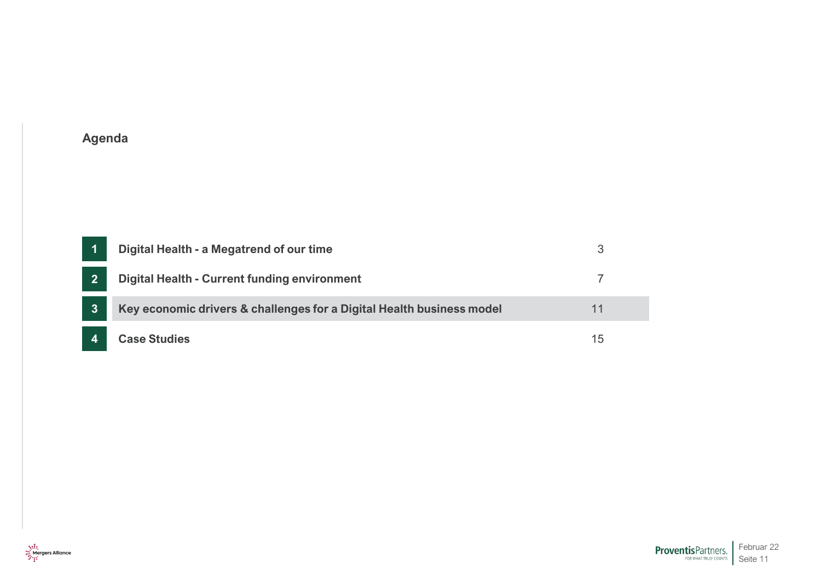<span id="page-10-0"></span>

|                | Digital Health - a Megatrend of our time                              |    |
|----------------|-----------------------------------------------------------------------|----|
| $\overline{2}$ | Digital Health - Current funding environment                          |    |
| $\mathbf{3}$   | Key economic drivers & challenges for a Digital Health business model |    |
|                | <b>Case Studies</b>                                                   | 15 |

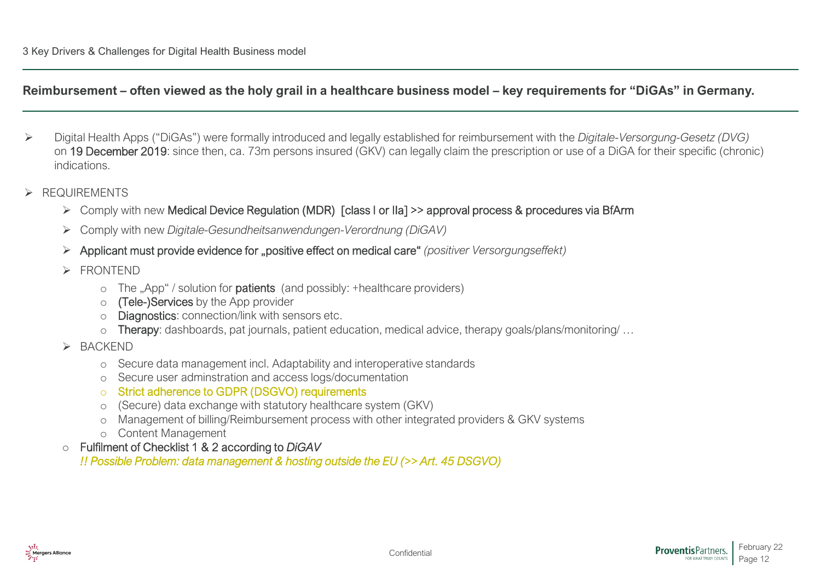### **Reimbursement – often viewed as the holy grail in a healthcare business model – key requirements for "DiGAs" in Germany.**

- ➢ Digital Health Apps ("DiGAs") were formally introduced and legally established for reimbursement with the *Digitale-Versorgung-Gesetz (DVG)* on 19 December 2019: since then, ca. 73m persons insured (GKV) can legally claim the prescription or use of a DiGA for their specific (chronic) indications.
- ➢ REQUIREMENTS
	- ➢ Comply with new Medical Device Regulation (MDR) [class I or IIa] >> approval process & procedures via BfArm
	- ➢ Comply with new *Digitale-Gesundheitsanwendungen-Verordnung (DiGAV)*
	- ➢ Applicant must provide evidence for "positive effect on medical care" *(positiver Versorgungseffekt)*
	- ➢ FRONTEND
		- $\circ$  The "App" / solution for **patients** (and possibly: +healthcare providers)
		- o (Tele-)Services by the App provider
		- o Diagnostics: connection/link with sensors etc.
		- o Therapy: dashboards, pat journals, patient education, medical advice, therapy goals/plans/monitoring/ …
	- ➢ BACKEND
		- o Secure data management incl. Adaptability and interoperative standards
		- o Secure user adminstration and access logs/documentation

#### o Strict adherence to GDPR (DSGVO) requirements

- o (Secure) data exchange with statutory healthcare system (GKV)
- o Management of billing/Reimbursement process with other integrated providers & GKV systems
- o Content Management

#### o Fulfilment of Checklist 1 & 2 according to *DiGAV*

*!! Possible Problem: data management & hosting outside the EU (>> Art. 45 DSGVO)*

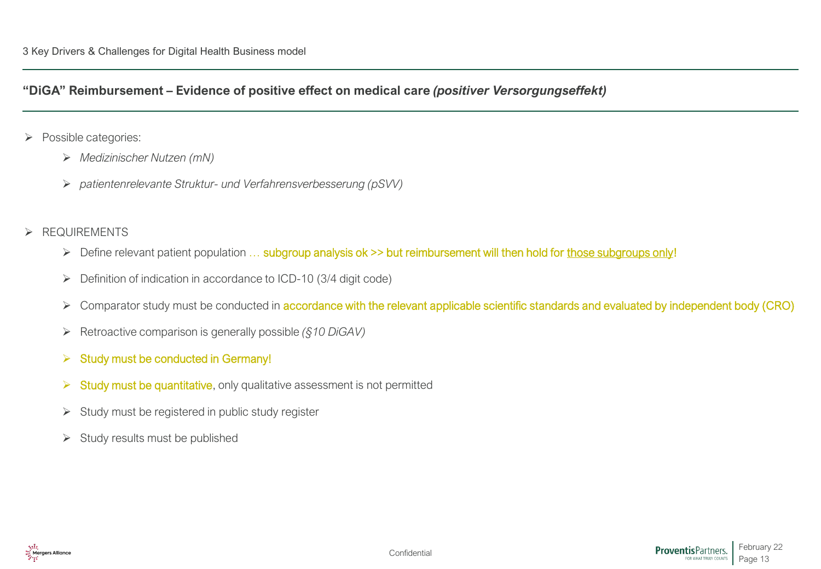### **"DiGA" Reimbursement – Evidence of positive effect on medical care** *(positiver Versorgungseffekt)*

- ➢ Possible categories:
	- ➢ *Medizinischer Nutzen (mN)*
	- ➢ *patientenrelevante Struktur- und Verfahrensverbesserung (pSVV)*
- ➢ REQUIREMENTS
	- ➢ Define relevant patient population … subgroup analysis ok >> but reimbursement will then hold for those subgroups only!
	- ➢ Definition of indication in accordance to ICD-10 (3/4 digit code)
	- ➢ Comparator study must be conducted in accordance with the relevant applicable scientific standards and evaluated by independent body (CRO)
	- ➢ Retroactive comparison is generally possible *(§10 DiGAV)*
	- $\triangleright$  Study must be conducted in Germany!
	- ➢ Study must be quantitative, only qualitative assessment is not permitted
	- ➢ Study must be registered in public study register
	- ➢ Study results must be published

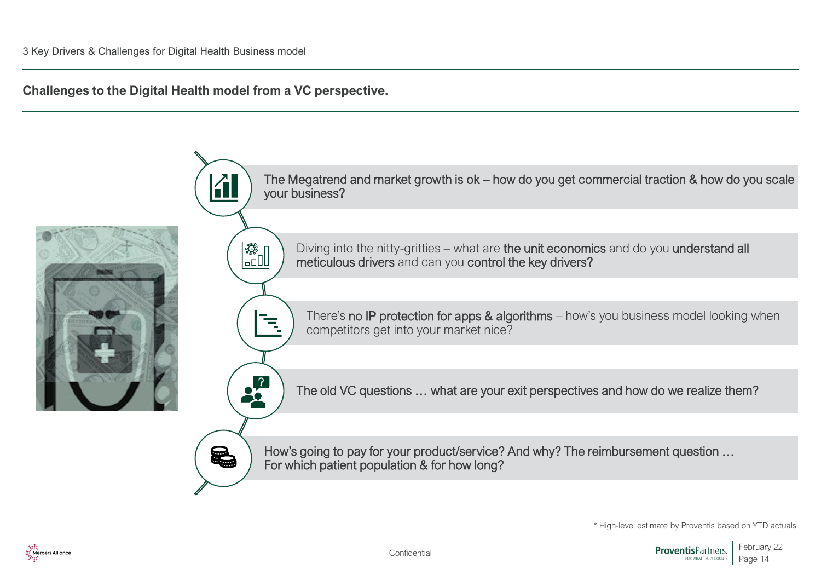**Challenges to the Digital Health model from a VC perspective.** 



\* High-level estimate by Proventis based on YTD actuals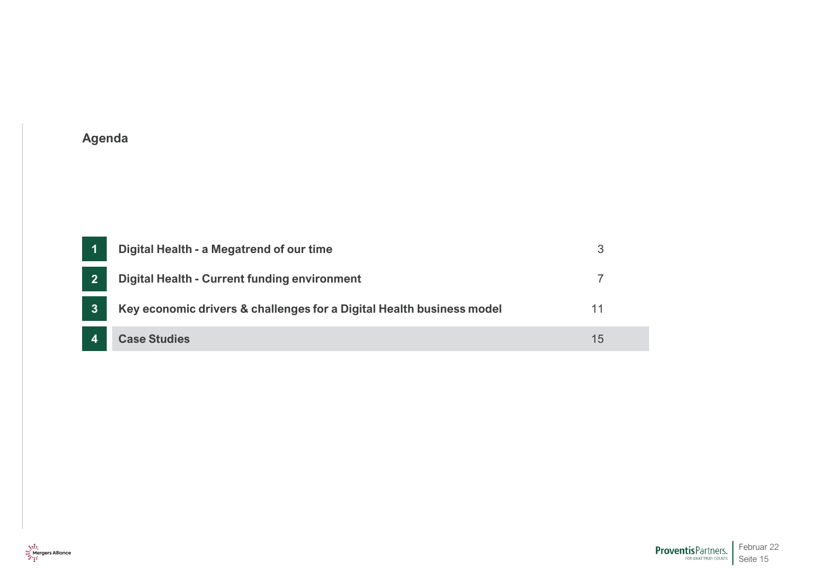<span id="page-14-0"></span>

|                | Digital Health - a Megatrend of our time                              |    |
|----------------|-----------------------------------------------------------------------|----|
| $\overline{2}$ | Digital Health - Current funding environment                          |    |
| 3              | Key economic drivers & challenges for a Digital Health business model | 11 |
|                | <b>Case Studies</b>                                                   | 15 |

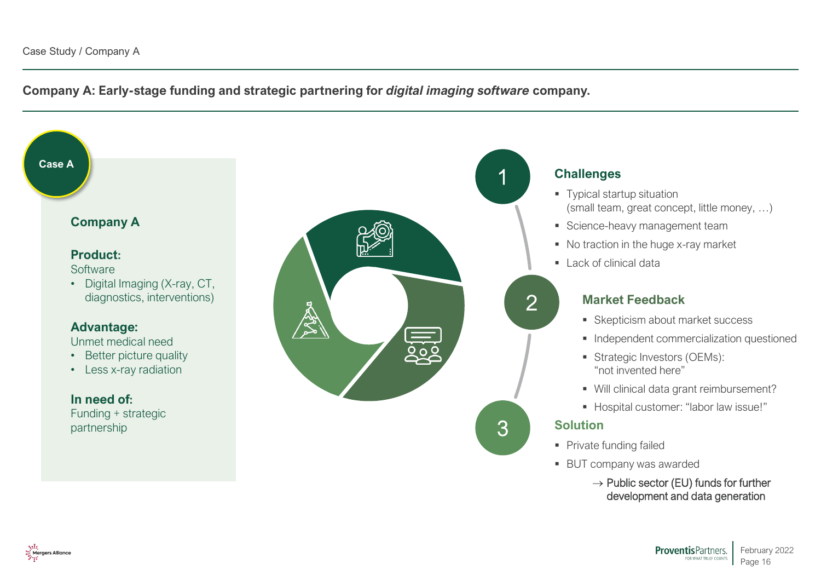Mergers Alliance

**Company A: Early-stage funding and strategic partnering for** *digital imaging software* **company.**

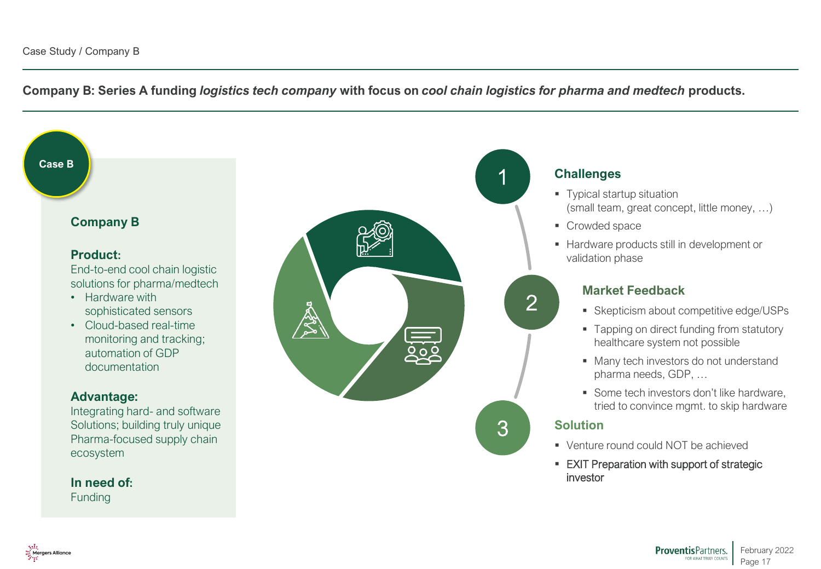**Company B: Series A funding** *logistics tech company* **with focus on** *cool chain logistics for pharma and medtech* **products.**



ProventisPartners. February 2022 FOR WHAT TRULY COUNTS Page 17

Mergers Alliance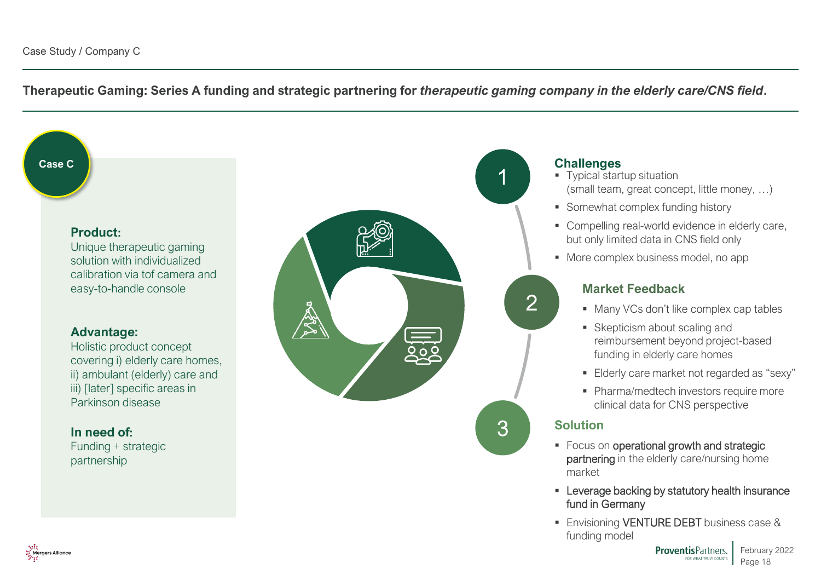**Therapeutic Gaming: Series A funding and strategic partnering for** *therapeutic gaming company in the elderly care/CNS field***.**

**Case C**

#### **Product:**

Unique therapeutic gaming solution with individualized calibration via tof camera and easy-to-handle console

#### **Advantage:**

Holistic product concept covering i) elderly care homes, ii) ambulant (elderly) care and iii) [later] specific areas in Parkinson disease

#### **In need of:**

Funding + strategic partnership



### **Challenges**

- **Typical startup situation** (small team, great concept, little money, …)
- Somewhat complex funding history
- Compelling real-world evidence in elderly care, but only limited data in CNS field only
- More complex business model, no app

# **Market Feedback**

- Many VCs don't like complex cap tables
- Skepticism about scaling and reimbursement beyond project-based funding in elderly care homes
- **Elderly care market not regarded as "sexy"**
- **Pharma/medtech investors require more** clinical data for CNS perspective

# **Solution**

- Focus on operational growth and strategic partnering in the elderly care/nursing home market
- **EXECTED** Leverage backing by statutory health insurance fund in Germany
- **Envisioning VENTURE DEBT** business case & funding model

**ProventisPartners.** February 2022 FOR WHAT TRULY COUNTS Page 18

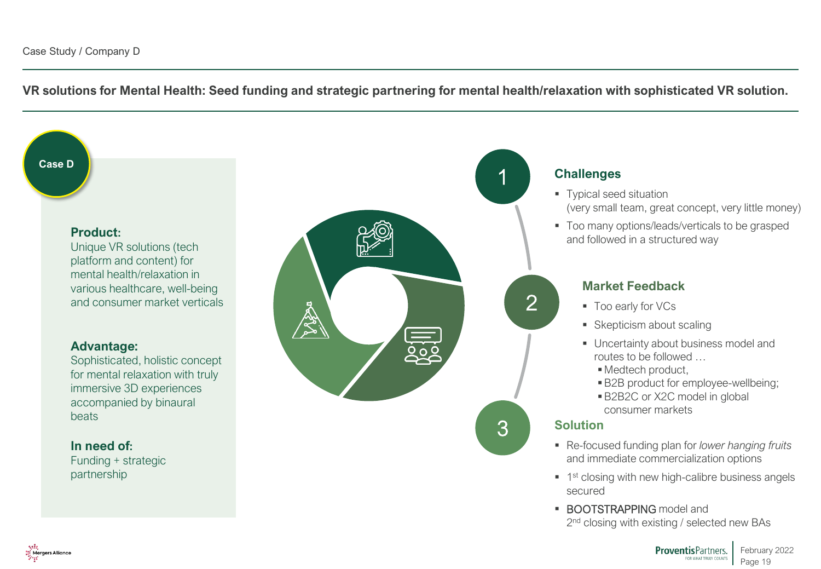**VR solutions for Mental Health: Seed funding and strategic partnering for mental health/relaxation with sophisticated VR solution.**

**Case D**

#### **Product:**

Unique VR solutions (tech platform and content) for mental health/relaxation in various healthcare, well-being and consumer market verticals

#### **Advantage:**

Sophisticated, holistic concept for mental relaxation with truly immersive 3D experiences accompanied by binaural beats

#### **In need of:**

Funding + strategic partnership



## **Challenges**

- Typical seed situation (very small team, great concept, very little money)
- Too many options/leads/verticals to be grasped and followed in a structured way

### **Market Feedback**

- Too early for VCs
- Skepticism about scaling
- Uncertainty about business model and routes to be followed …
	- Medtech product,
	- B2B product for employee-wellbeing;
	- B2B2C or X2C model in global consumer markets

### **Solution**

- Re-focused funding plan for *lower hanging fruits* and immediate commercialization options
- **1** 1<sup>st</sup> closing with new high-calibre business angels secured
- **BOOTSTRAPPING model and** 2<sup>nd</sup> closing with existing / selected new BAs